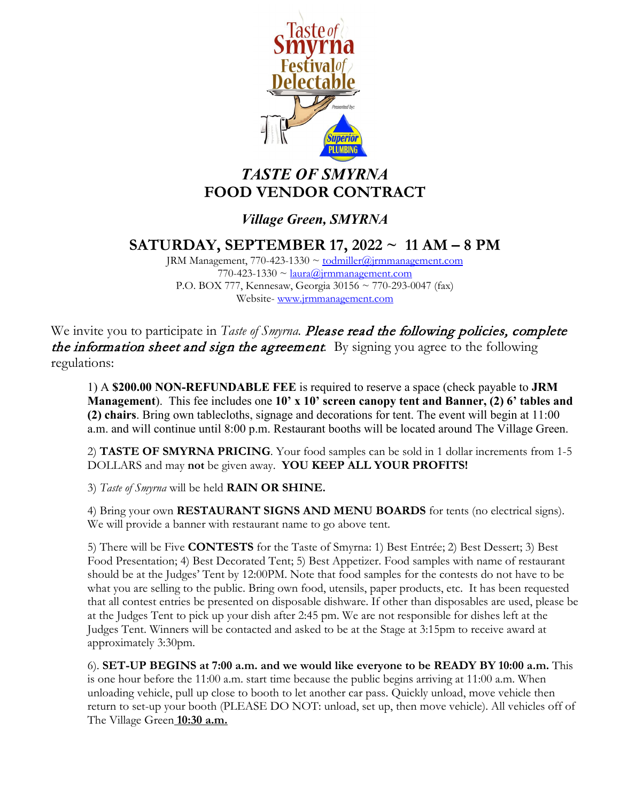

## *TASTE OF SMYRNA* **FOOD VENDOR CONTRACT**

### *Village Green, SMYRNA*

**SATURDAY, SEPTEMBER 17, 2022 ~ 11 AM – 8 PM**

JRM Management, 770-423-1330  $\sim$  [todmiller@jrmmanagement.com](mailto:todmiller@jrmmanagement.com)  $770-423-1330 \sim \frac{\text{laura}}{\text{ar}a}$  immanagement.com P.O. BOX 777, Kennesaw, Georgia 30156 ~ 770-293-0047 (fax) Website- [www.jrmmanagement.com](http://www.jrmmanagement.com/)

We invite you to participate in *Taste of Smyrna*. **Please read the following policies, complete** the information sheet and sign the agreement*.* By signing you agree to the following regulations:

1) A **\$200.00 NON-REFUNDABLE FEE** is required to reserve a space (check payable to **JRM Management**). This fee includes one **10' x 10' screen canopy tent and Banner, (2) 6' tables and (2) chairs**. Bring own tablecloths, signage and decorations for tent. The event will begin at 11:00 a.m. and will continue until 8:00 p.m. Restaurant booths will be located around The Village Green.

2) **TASTE OF SMYRNA PRICING**. Your food samples can be sold in 1 dollar increments from 1-5 DOLLARS and may **not** be given away. **YOU KEEP ALL YOUR PROFITS!**

3) *Taste of Smyrna* will be held **RAIN OR SHINE.**

4) Bring your own **RESTAURANT SIGNS AND MENU BOARDS** for tents (no electrical signs). We will provide a banner with restaurant name to go above tent.

5) There will be Five **CONTESTS** for the Taste of Smyrna: 1) Best Entrée; 2) Best Dessert; 3) Best Food Presentation; 4) Best Decorated Tent; 5) Best Appetizer. Food samples with name of restaurant should be at the Judges' Tent by 12:00PM. Note that food samples for the contests do not have to be what you are selling to the public. Bring own food, utensils, paper products, etc. It has been requested that all contest entries be presented on disposable dishware. If other than disposables are used, please be at the Judges Tent to pick up your dish after 2:45 pm. We are not responsible for dishes left at the Judges Tent. Winners will be contacted and asked to be at the Stage at 3:15pm to receive award at approximately 3:30pm.

6). **SET-UP BEGINS at 7:00 a.m. and we would like everyone to be READY BY 10:00 a.m.** This is one hour before the 11:00 a.m. start time because the public begins arriving at 11:00 a.m. When unloading vehicle, pull up close to booth to let another car pass. Quickly unload, move vehicle then return to set-up your booth (PLEASE DO NOT: unload, set up, then move vehicle). All vehicles off of The Village Green **10:30 a.m.**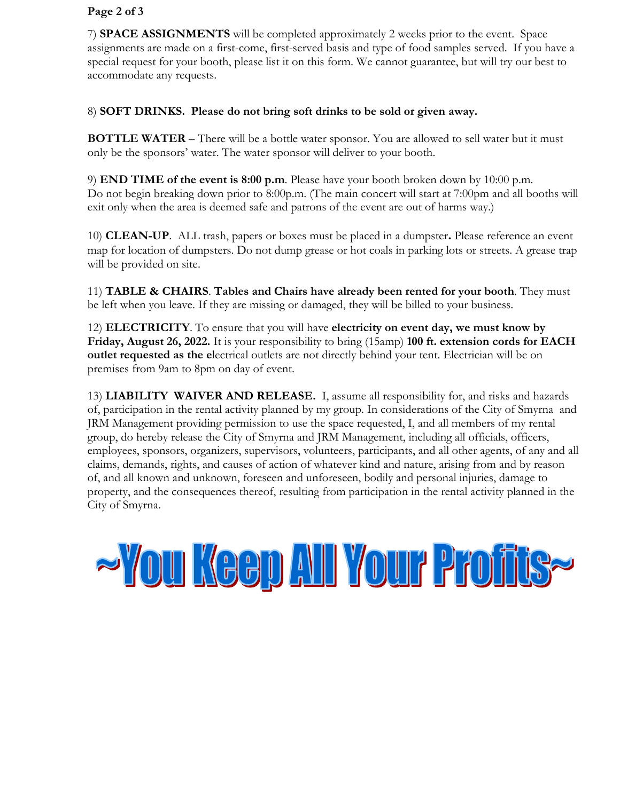#### **Page 2 of 3**

7) **SPACE ASSIGNMENTS** will be completed approximately 2 weeks prior to the event. Space assignments are made on a first-come, first-served basis and type of food samples served. If you have a special request for your booth, please list it on this form. We cannot guarantee, but will try our best to accommodate any requests.

#### 8) **SOFT DRINKS. Please do not bring soft drinks to be sold or given away.**

**BOTTLE WATER** – There will be a bottle water sponsor. You are allowed to sell water but it must only be the sponsors' water. The water sponsor will deliver to your booth.

9) **END TIME of the event is 8:00 p.m**. Please have your booth broken down by 10:00 p.m. Do not begin breaking down prior to 8:00p.m. (The main concert will start at 7:00pm and all booths will exit only when the area is deemed safe and patrons of the event are out of harms way.)

10) **CLEAN-UP**. ALL trash, papers or boxes must be placed in a dumpster**.** Please reference an event map for location of dumpsters. Do not dump grease or hot coals in parking lots or streets. A grease trap will be provided on site.

11) **TABLE & CHAIRS**. **Tables and Chairs have already been rented for your booth**. They must be left when you leave. If they are missing or damaged, they will be billed to your business.

12) **ELECTRICITY**. To ensure that you will have **electricity on event day, we must know by Friday, August 26, 2022.** It is your responsibility to bring (15amp) **100 ft. extension cords for EACH outlet requested as the e**lectrical outlets are not directly behind your tent. Electrician will be on premises from 9am to 8pm on day of event.

13) **LIABILITY WAIVER AND RELEASE.** I, assume all responsibility for, and risks and hazards of, participation in the rental activity planned by my group. In considerations of the City of Smyrna and JRM Management providing permission to use the space requested, I, and all members of my rental group, do hereby release the City of Smyrna and JRM Management, including all officials, officers, employees, sponsors, organizers, supervisors, volunteers, participants, and all other agents, of any and all claims, demands, rights, and causes of action of whatever kind and nature, arising from and by reason of, and all known and unknown, foreseen and unforeseen, bodily and personal injuries, damage to property, and the consequences thereof, resulting from participation in the rental activity planned in the City of Smyrna.